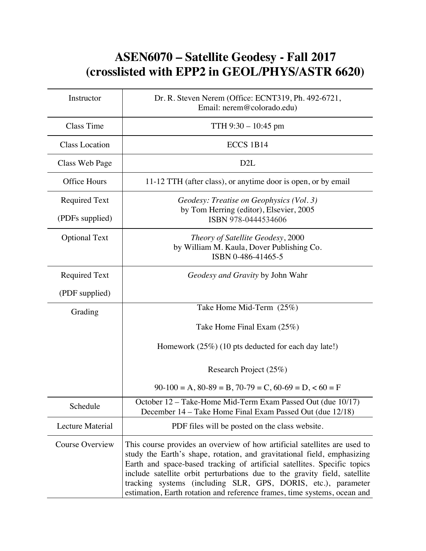## **ASEN6070 – Satellite Geodesy - Fall 2017 (crosslisted with EPP2 in GEOL/PHYS/ASTR 6620)**

| Instructor                              | Dr. R. Steven Nerem (Office: ECNT319, Ph. 492-6721,<br>Email: nerem@colorado.edu)                                                                                                                                                                                                                                                                                                                                                                          |
|-----------------------------------------|------------------------------------------------------------------------------------------------------------------------------------------------------------------------------------------------------------------------------------------------------------------------------------------------------------------------------------------------------------------------------------------------------------------------------------------------------------|
| Class Time                              | TTH $9:30 - 10:45$ pm                                                                                                                                                                                                                                                                                                                                                                                                                                      |
| <b>Class Location</b>                   | ECCS 1B14                                                                                                                                                                                                                                                                                                                                                                                                                                                  |
| Class Web Page                          | D <sub>2</sub> L                                                                                                                                                                                                                                                                                                                                                                                                                                           |
| <b>Office Hours</b>                     | 11-12 TTH (after class), or anytime door is open, or by email                                                                                                                                                                                                                                                                                                                                                                                              |
| <b>Required Text</b><br>(PDFs supplied) | Geodesy: Treatise on Geophysics (Vol. 3)<br>by Tom Herring (editor), Elsevier, 2005<br>ISBN 978-0444534606                                                                                                                                                                                                                                                                                                                                                 |
| <b>Optional Text</b>                    | Theory of Satellite Geodesy, 2000<br>by William M. Kaula, Dover Publishing Co.<br>ISBN 0-486-41465-5                                                                                                                                                                                                                                                                                                                                                       |
| <b>Required Text</b>                    | Geodesy and Gravity by John Wahr                                                                                                                                                                                                                                                                                                                                                                                                                           |
| (PDF supplied)                          |                                                                                                                                                                                                                                                                                                                                                                                                                                                            |
| Grading                                 | Take Home Mid-Term (25%)                                                                                                                                                                                                                                                                                                                                                                                                                                   |
|                                         | Take Home Final Exam (25%)                                                                                                                                                                                                                                                                                                                                                                                                                                 |
|                                         | Homework $(25\%)$ (10 pts deducted for each day late!)                                                                                                                                                                                                                                                                                                                                                                                                     |
|                                         | Research Project (25%)                                                                                                                                                                                                                                                                                                                                                                                                                                     |
|                                         | $90-100 = A$ , $80-89 = B$ , $70-79 = C$ , $60-69 = D$ , $60 = F$                                                                                                                                                                                                                                                                                                                                                                                          |
| Schedule                                | October 12 - Take-Home Mid-Term Exam Passed Out (due 10/17)<br>December 14 – Take Home Final Exam Passed Out (due 12/18)                                                                                                                                                                                                                                                                                                                                   |
| Lecture Material                        | PDF files will be posted on the class website.                                                                                                                                                                                                                                                                                                                                                                                                             |
| Course Overview                         | This course provides an overview of how artificial satellites are used to<br>study the Earth's shape, rotation, and gravitational field, emphasizing<br>Earth and space-based tracking of artificial satellites. Specific topics<br>include satellite orbit perturbations due to the gravity field, satellite<br>tracking systems (including SLR, GPS, DORIS, etc.), parameter<br>estimation, Earth rotation and reference frames, time systems, ocean and |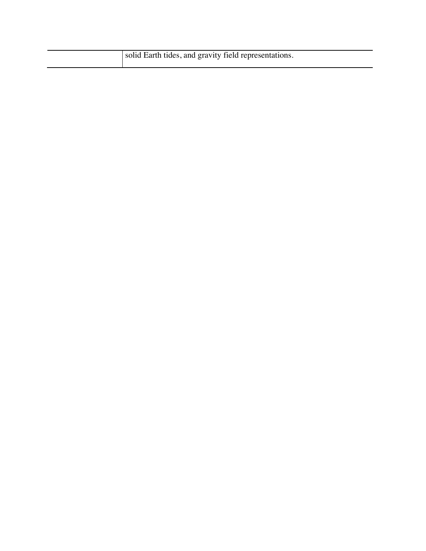| solid Earth tides, and gravity field representations. |
|-------------------------------------------------------|
|-------------------------------------------------------|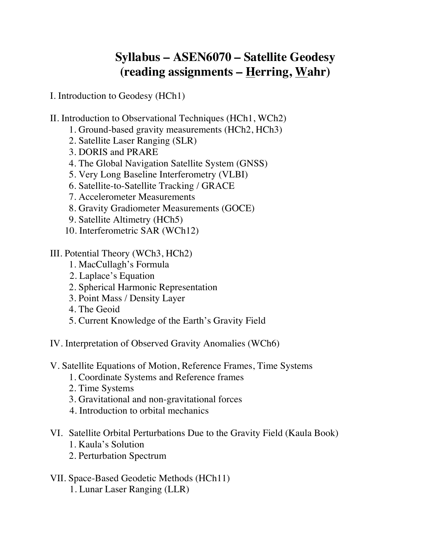## **Syllabus – ASEN6070 – Satellite Geodesy (reading assignments – Herring, Wahr)**

I. Introduction to Geodesy (HCh1)

- II. Introduction to Observational Techniques (HCh1, WCh2)
	- 1. Ground-based gravity measurements (HCh2, HCh3)
	- 2. Satellite Laser Ranging (SLR)
	- 3. DORIS and PRARE
	- 4. The Global Navigation Satellite System (GNSS)
	- 5. Very Long Baseline Interferometry (VLBI)
	- 6. Satellite-to-Satellite Tracking / GRACE
	- 7. Accelerometer Measurements
	- 8. Gravity Gradiometer Measurements (GOCE)
	- 9. Satellite Altimetry (HCh5)
	- 10. Interferometric SAR (WCh12)
- III. Potential Theory (WCh3, HCh2)
	- 1. MacCullagh's Formula
	- 2. Laplace's Equation
	- 2. Spherical Harmonic Representation
	- 3. Point Mass / Density Layer
	- 4. The Geoid
	- 5. Current Knowledge of the Earth's Gravity Field
- IV. Interpretation of Observed Gravity Anomalies (WCh6)
- V. Satellite Equations of Motion, Reference Frames, Time Systems
	- 1. Coordinate Systems and Reference frames
	- 2. Time Systems
	- 3. Gravitational and non-gravitational forces
	- 4. Introduction to orbital mechanics
- VI. Satellite Orbital Perturbations Due to the Gravity Field (Kaula Book) 1. Kaula's Solution
	- 2. Perturbation Spectrum
- VII. Space-Based Geodetic Methods (HCh11) 1. Lunar Laser Ranging (LLR)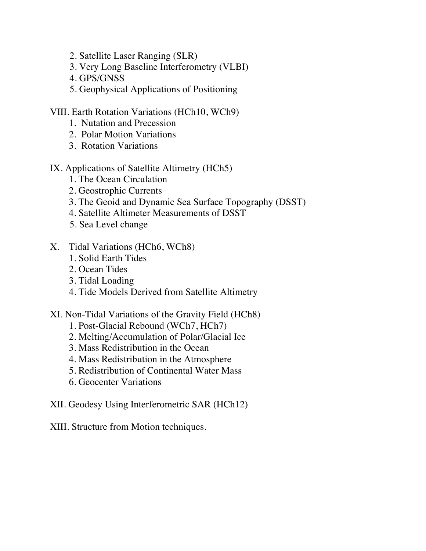- 2. Satellite Laser Ranging (SLR)
- 3. Very Long Baseline Interferometry (VLBI)
- 4. GPS/GNSS
- 5. Geophysical Applications of Positioning
- VIII. Earth Rotation Variations (HCh10, WCh9)
	- 1. Nutation and Precession
	- 2. Polar Motion Variations
	- 3. Rotation Variations
- IX. Applications of Satellite Altimetry (HCh5)
	- 1. The Ocean Circulation
	- 2. Geostrophic Currents
	- 3. The Geoid and Dynamic Sea Surface Topography (DSST)
	- 4. Satellite Altimeter Measurements of DSST
	- 5. Sea Level change
- X. Tidal Variations (HCh6, WCh8)
	- 1. Solid Earth Tides
	- 2. Ocean Tides
	- 3. Tidal Loading
	- 4. Tide Models Derived from Satellite Altimetry
- XI. Non-Tidal Variations of the Gravity Field (HCh8)
	- 1. Post-Glacial Rebound (WCh7, HCh7)
	- 2. Melting/Accumulation of Polar/Glacial Ice
	- 3. Mass Redistribution in the Ocean
	- 4. Mass Redistribution in the Atmosphere
	- 5. Redistribution of Continental Water Mass
	- 6. Geocenter Variations
- XII. Geodesy Using Interferometric SAR (HCh12)

XIII. Structure from Motion techniques.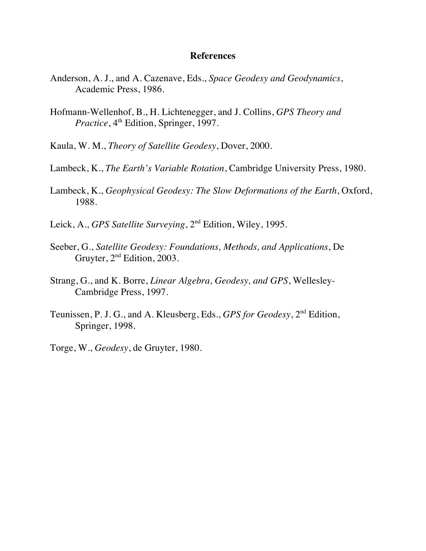## **References**

- Anderson, A. J., and A. Cazenave, Eds., *Space Geodesy and Geodynamics*, Academic Press, 1986.
- Hofmann-Wellenhof, B., H. Lichtenegger, and J. Collins, *GPS Theory and Practice*,  $4^{\text{th}}$  Edition, Springer, 1997.
- Kaula, W. M., *Theory of Satellite Geodesy*, Dover, 2000.
- Lambeck, K., *The Earth's Variable Rotation*, Cambridge University Press, 1980.
- Lambeck, K., *Geophysical Geodesy: The Slow Deformations of the Earth*, Oxford, 1988.
- Leick, A., *GPS Satellite Surveying*, 2nd Edition, Wiley, 1995.
- Seeber, G., *Satellite Geodesy: Foundations, Methods, and Applications*, De Gruyter, 2<sup>nd</sup> Edition, 2003.
- Strang, G., and K. Borre, *Linear Algebra, Geodesy, and GPS*, Wellesley-Cambridge Press, 1997.
- Teunissen, P. J. G., and A. Kleusberg, Eds., *GPS for Geodesy*, 2nd Edition, Springer, 1998.
- Torge, W., *Geodesy*, de Gruyter, 1980.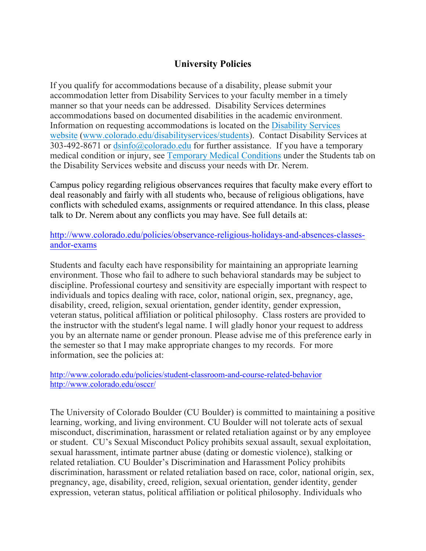## **University Policies**

If you qualify for accommodations because of a disability, please submit your accommodation letter from Disability Services to your faculty member in a timely manner so that your needs can be addressed. Disability Services determines accommodations based on documented disabilities in the academic environment. Information on requesting accommodations is located on the Disability Services website (www.colorado.edu/disabilityservices/students). Contact Disability Services at 303-492-8671 or  $\frac{dsinfo(@colorado.edu)}{dsinfo(@colorado.edu)}$  for further assistance. If you have a temporary medical condition or injury, see Temporary Medical Conditions under the Students tab on the Disability Services website and discuss your needs with Dr. Nerem.

Campus policy regarding religious observances requires that faculty make every effort to deal reasonably and fairly with all students who, because of religious obligations, have conflicts with scheduled exams, assignments or required attendance. In this class, please talk to Dr. Nerem about any conflicts you may have. See full details at:

http://www.colorado.edu/policies/observance-religious-holidays-and-absences-classesandor-exams

Students and faculty each have responsibility for maintaining an appropriate learning environment. Those who fail to adhere to such behavioral standards may be subject to discipline. Professional courtesy and sensitivity are especially important with respect to individuals and topics dealing with race, color, national origin, sex, pregnancy, age, disability, creed, religion, sexual orientation, gender identity, gender expression, veteran status, political affiliation or political philosophy. Class rosters are provided to the instructor with the student's legal name. I will gladly honor your request to address you by an alternate name or gender pronoun. Please advise me of this preference early in the semester so that I may make appropriate changes to my records. For more information, see the policies at:

http://www.colorado.edu/policies/student-classroom-and-course-related-behavior http://www.colorado.edu/osccr/

The University of Colorado Boulder (CU Boulder) is committed to maintaining a positive learning, working, and living environment. CU Boulder will not tolerate acts of sexual misconduct, discrimination, harassment or related retaliation against or by any employee or student. CU's Sexual Misconduct Policy prohibits sexual assault, sexual exploitation, sexual harassment, intimate partner abuse (dating or domestic violence), stalking or related retaliation. CU Boulder's Discrimination and Harassment Policy prohibits discrimination, harassment or related retaliation based on race, color, national origin, sex, pregnancy, age, disability, creed, religion, sexual orientation, gender identity, gender expression, veteran status, political affiliation or political philosophy. Individuals who